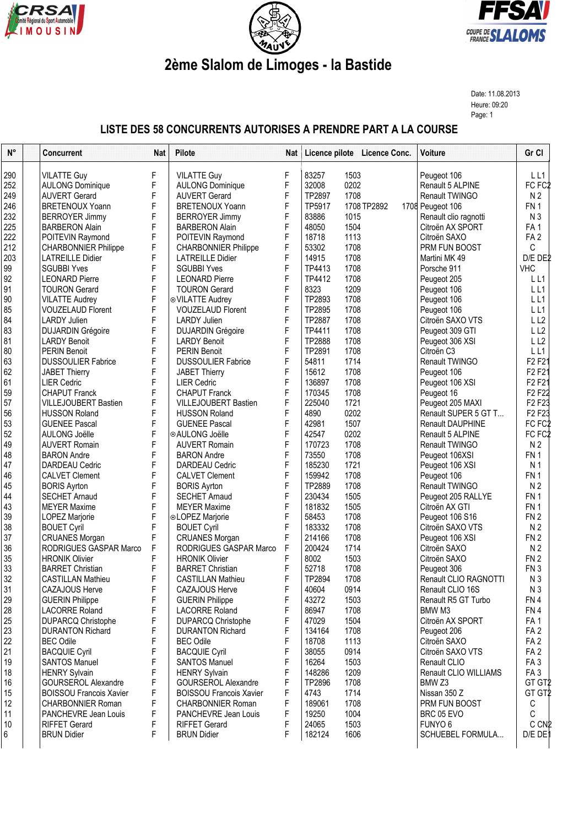





## **2ème Slalom de Limoges - la Bastide**

Date: 11.08.2013 Heure: 09:20 Page: 1

## **LISTE DES 58 CONCURRENTS AUTORISES A PRENDRE PART A LA COURSE**

| $N^{\circ}$ | <b>Concurrent</b>              | <b>Nat</b> | Pilote                         | Nat | Licence pilote Licence Conc. |             | Voiture               | Gr Cl                           |
|-------------|--------------------------------|------------|--------------------------------|-----|------------------------------|-------------|-----------------------|---------------------------------|
| 290         | <b>VILATTE Guy</b>             | F          | <b>VILATTE Guy</b>             | F   | 83257<br>1503                |             | Peugeot 106           | L L1                            |
| 252         | <b>AULONG Dominique</b>        | F          | <b>AULONG Dominique</b>        | F   | 32008<br>0202                |             | Renault 5 ALPINE      | FC FC <sub>2</sub>              |
| 249         | <b>AUVERT Gerard</b>           | F          | <b>AUVERT Gerard</b>           | F   | TP2897<br>1708               |             | Renault TWINGO        | N <sub>2</sub>                  |
| 246         | <b>BRETENOUX Yoann</b>         | F          | <b>BRETENOUX Yoann</b>         | F   | TP5917                       | 1708 TP2892 | 1708 Peugeot 106      | FN <sub>1</sub>                 |
| 232         | <b>BERROYER Jimmy</b>          | F          | <b>BERROYER Jimmy</b>          | F   | 83886<br>1015                |             | Renault clio ragnotti | N <sub>3</sub>                  |
| 225         | <b>BARBERON Alain</b>          | F          | <b>BARBERON Alain</b>          | F   | 48050<br>1504                |             | Citroën AX SPORT      | FA <sub>1</sub>                 |
| 222         | POITEVIN Raymond               | F          | POITEVIN Raymond               | F   | 18718<br>1113                |             | Citroën SAXO          | FA <sub>2</sub>                 |
| 212         | <b>CHARBONNIER Philippe</b>    | F          | <b>CHARBONNIER Philippe</b>    | F   | 53302<br>1708                |             | PRM FUN BOOST         | C                               |
| 203         | <b>LATREILLE Didier</b>        | F          | <b>LATREILLE Didier</b>        | F   | 14915<br>1708                |             | Martini MK 49         | D/E DE2                         |
| 99          | <b>SGUBBI Yves</b>             | F          | <b>SGUBBI Yves</b>             | F   | 1708<br>TP4413               |             | Porsche 911           | <b>VHC</b>                      |
| 92          | <b>LEONARD Pierre</b>          | F          | <b>LEONARD Pierre</b>          | F   | 1708<br>TP4412               |             | Peugeot 205           | LL1                             |
| 91          | <b>TOURON Gerard</b>           | F          | <b>TOURON Gerard</b>           | F   | 8323<br>1209                 |             | Peugeot 106           | LL1                             |
| 90          | <b>VILATTE Audrey</b>          | F          | ⊙ VILATTE Audrey               | F   | TP2893<br>1708               |             | Peugeot 106           | LL1                             |
| 85          | <b>VOUZELAUD Florent</b>       | F          | <b>VOUZELAUD Florent</b>       | F   | TP2895<br>1708               |             | Peugeot 106           | LL1                             |
| 84          | <b>LARDY Julien</b>            | F          | <b>LARDY Julien</b>            | F   | TP2887<br>1708               |             | Citroën SAXO VTS      | LL <sub>2</sub>                 |
| 83          | <b>DUJARDIN Grégoire</b>       | F          | <b>DUJARDIN Grégoire</b>       | F   | TP4411<br>1708               |             | Peugeot 309 GTI       | LL <sub>2</sub>                 |
| 81          | <b>LARDY Benoit</b>            | F          | <b>LARDY Benoit</b>            | F   | TP2888<br>1708               |             | Peugeot 306 XSI       | LL2                             |
| 80          | <b>PERIN Benoit</b>            | F          | <b>PERIN Benoit</b>            | F   | TP2891<br>1708               |             | Citroën C3            | LL1                             |
| 63          | <b>DUSSOULIER Fabrice</b>      | F          | <b>DUSSOULIER Fabrice</b>      | F   | 54811<br>1714                |             | Renault TWINGO        | F <sub>2</sub> F <sub>2</sub> 1 |
| 62          | <b>JABET Thierry</b>           | F          | <b>JABET Thierry</b>           | F   | 15612<br>1708                |             | Peugeot 106           | F <sub>2</sub> F <sub>2</sub> 1 |
| 61          | <b>LIER Cedric</b>             | F          | <b>LIER Cedric</b>             | F   | 136897<br>1708               |             | Peugeot 106 XSI       | F <sub>2</sub> F <sub>21</sub>  |
| 59          | <b>CHAPUT Franck</b>           | F          | <b>CHAPUT Franck</b>           | F   | 170345<br>1708               |             | Peugeot 16            | F <sub>2</sub> F <sub>2</sub> 2 |
| 57          | <b>VILLEJOUBERT Bastien</b>    | F          | <b>VILLEJOUBERT Bastien</b>    | F   | 225040<br>1721               |             | Peugeot 205 MAXI      | F <sub>2</sub> F <sub>23</sub>  |
| 56          | <b>HUSSON Roland</b>           | F          | <b>HUSSON Roland</b>           | F   | 4890<br>0202                 |             | Renault SUPER 5 GT T  | F <sub>2</sub> F <sub>23</sub>  |
| 53          | <b>GUENEE Pascal</b>           | F          | <b>GUENEE Pascal</b>           | F   | 1507<br>42981                |             | Renault DAUPHINE      | FC FC <sub>2</sub>              |
| 52          | <b>AULONG Joëlle</b>           | F          | ⊙AULONG Joëlle                 | F   | 42547<br>0202                |             | Renault 5 ALPINE      | FC FC <sub>2</sub>              |
| 49          | <b>AUVERT Romain</b>           | F          | <b>AUVERT Romain</b>           | F   | 170723<br>1708               |             | Renault TWINGO        | N <sub>2</sub>                  |
| 48          | <b>BARON Andre</b>             | F          | <b>BARON Andre</b>             | F   | 73550<br>1708                |             | Peugeot 106XSI        | FN <sub>1</sub>                 |
| 47          | <b>DARDEAU Cedric</b>          | F          | <b>DARDEAU Cedric</b>          | F   | 185230<br>1721               |             | Peugeot 106 XSI       | N <sub>1</sub>                  |
| 46          | <b>CALVET Clement</b>          | F          | <b>CALVET Clement</b>          | F   | 159942<br>1708               |             | Peugeot 106           | FN <sub>1</sub>                 |
| 45          | <b>BORIS Ayrton</b>            | F          | <b>BORIS Ayrton</b>            | F   | TP2889<br>1708               |             | Renault TWINGO        | N <sub>2</sub>                  |
| 44          | <b>SECHET Arnaud</b>           | F          | <b>SECHET Arnaud</b>           | F   | 230434<br>1505               |             | Peugeot 205 RALLYE    | FN <sub>1</sub>                 |
| 43          | <b>MEYER Maxime</b>            | F          | <b>MEYER Maxime</b>            | F   | 181832<br>1505               |             | Citroën AX GTI        | FN <sub>1</sub>                 |
| 39          | LOPEZ Marjorie                 | F          | ⊙LOPEZ Marjorie                | F   | 58453<br>1708                |             | Peugeot 106 S16       | FN <sub>2</sub>                 |
| 38          | <b>BOUET Cyril</b>             | F          | <b>BOUET Cyril</b>             | F   | 183332<br>1708               |             | Citroën SAXO VTS      | N <sub>2</sub>                  |
| 37          | <b>CRUANES Morgan</b>          | F          | <b>CRUANES Morgan</b>          | F   | 1708<br>214166               |             | Peugeot 106 XSI       | FN <sub>2</sub>                 |
| 36          | RODRIGUES GASPAR Marco         | F          | RODRIGUES GASPAR Marco         | F   | 200424<br>1714               |             | Citroën SAXO          | N <sub>2</sub>                  |
| 35          | <b>HRONIK Olivier</b>          | F          | <b>HRONIK Olivier</b>          | F   | 8002<br>1503                 |             | Citroën SAXO          | FN <sub>2</sub>                 |
| 33          | <b>BARRET Christian</b>        | F          | <b>BARRET Christian</b>        | F   | 52718<br>1708                |             | Peugeot 306           | FN <sub>3</sub>                 |
| 32          | <b>CASTILLAN Mathieu</b>       | F          | <b>CASTILLAN Mathieu</b>       | F   | TP2894<br>1708               |             | Renault CLIO RAGNOTTI | N <sub>3</sub>                  |
| 31          | CAZAJOUS Herve                 | F          | CAZAJOUS Herve                 | F   | 40604<br>0914                |             | Renault CLIO 16S      | N <sub>3</sub>                  |
| 29          | <b>GUERIN Philippe</b>         | F          | <b>GUERIN Philippe</b>         | F   | 43272<br>1503                |             | Renault R5 GT Turbo   | FN 4                            |
| 28          | <b>LACORRE Roland</b>          | F          | <b>LACORRE Roland</b>          | F   | 86947<br>1708                |             | BMW M3                | FN4                             |
| 25          | <b>DUPARCQ Christophe</b>      | F          | <b>DUPARCQ Christophe</b>      | F   | 47029<br>1504                |             | Citroën AX SPORT      | FA <sub>1</sub>                 |
| 23          | <b>DURANTON Richard</b>        | F          | <b>DURANTON Richard</b>        | F   | 134164<br>1708               |             | Peugeot 206           | FA <sub>2</sub>                 |
| 22          | <b>BEC Odile</b>               | F          | <b>BEC Odile</b>               | F   | 18708<br>1113                |             | Citroën SAXO          | FA <sub>2</sub>                 |
| 21          | <b>BACQUIE Cyril</b>           | F          | <b>BACQUIE Cyril</b>           | F   | 38055<br>0914                |             | Citroën SAXO VTS      | FA <sub>2</sub>                 |
| 19          | <b>SANTOS Manuel</b>           | F          | <b>SANTOS Manuel</b>           | F   | 16264<br>1503                |             | Renault CLIO          | FA <sub>3</sub>                 |
| 18          | <b>HENRY Sylvain</b>           | F          | <b>HENRY Sylvain</b>           | F   | 148286<br>1209               |             | Renault CLIO WILLIAMS | FA <sub>3</sub>                 |
| 16          | <b>GOURSEROL Alexandre</b>     | F          | <b>GOURSEROL Alexandre</b>     | F   | TP2896<br>1708               |             | BMW <sub>Z3</sub>     | GT GT2                          |
| 15          | <b>BOISSOU Francois Xavier</b> | F          | <b>BOISSOU Francois Xavier</b> | F   | 4743<br>1714                 |             | Nissan 350 Z          | GT GT2                          |
| 12          | <b>CHARBONNIER Roman</b>       | F          | <b>CHARBONNIER Roman</b>       | F   | 189061<br>1708               |             | PRM FUN BOOST         | С                               |
| 11          | PANCHEVRE Jean Louis           | F          | PANCHEVRE Jean Louis           | F   | 1004<br>19250                |             | BRC 05 EVO            | C                               |
| 10          | <b>RIFFET Gerard</b>           | F          | <b>RIFFET Gerard</b>           | F   | 24065<br>1503                |             | FUNYO <sub>6</sub>    | C CN <sub>2</sub>               |
| 6           | <b>BRUN Didier</b>             | F          | <b>BRUN Didier</b>             | F   | 182124<br>1606               |             | SCHUEBEL FORMULA      | D/E DE                          |